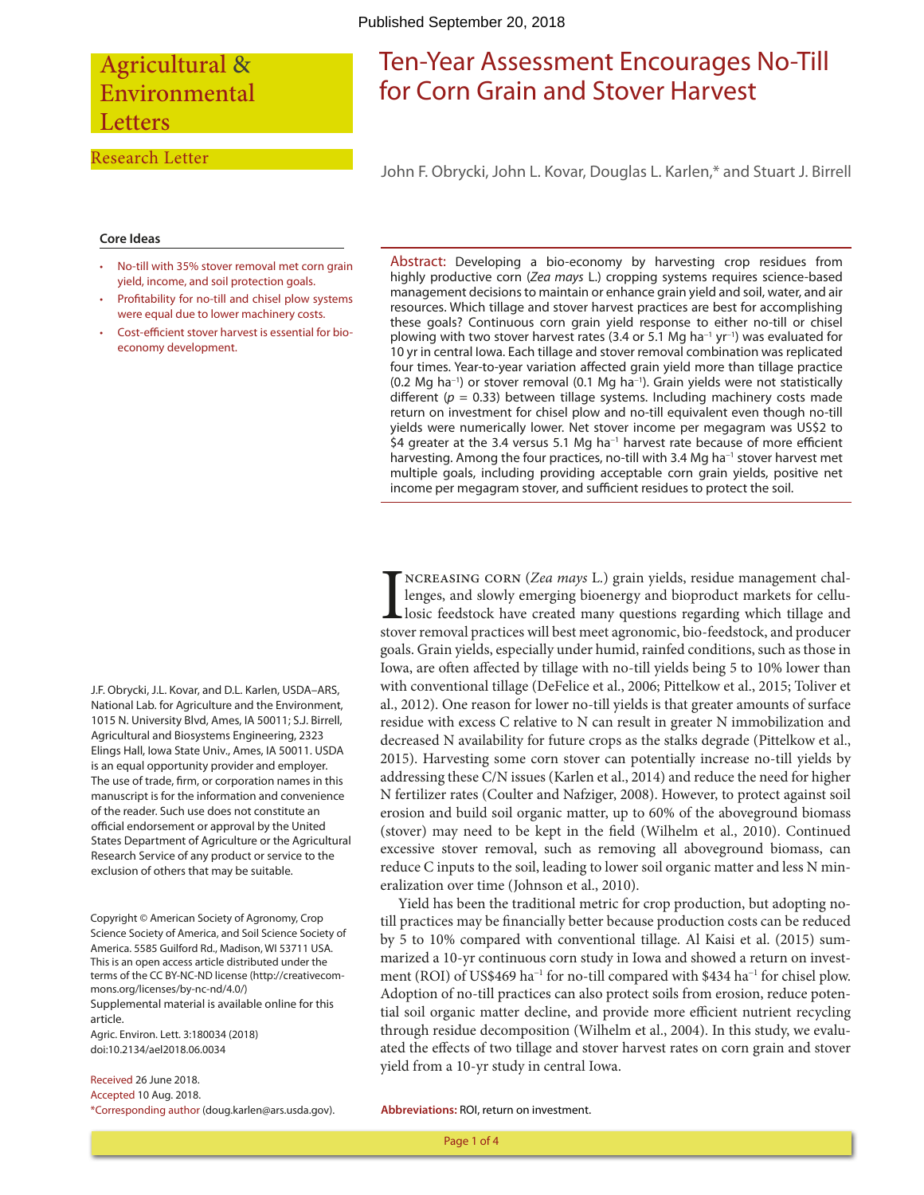## Agricultural & Environmental **Letters**

#### Research Letter

# Ten-Year Assessment Encourages No-Till for Corn Grain and Stover Harvest

John F. Obrycki, John L. Kovar, Douglas L. Karlen,\* and Stuart J. Birrell

#### **Core Ideas**

- No-till with 35% stover removal met corn grain yield, income, and soil protection goals.
- Profitability for no-till and chisel plow systems were equal due to lower machinery costs.
- Cost-efficient stover harvest is essential for bioeconomy development.

Abstract: Developing a bio-economy by harvesting crop residues from highly productive corn (*Zea mays* L.) cropping systems requires science-based management decisions to maintain or enhance grain yield and soil, water, and air resources. Which tillage and stover harvest practices are best for accomplishing these goals? Continuous corn grain yield response to either no-till or chisel plowing with two stover harvest rates (3.4 or 5.1 Mg ha<sup>-1</sup> yr<sup>-1</sup>) was evaluated for 10 yr in central Iowa. Each tillage and stover removal combination was replicated four times. Year-to-year variation affected grain yield more than tillage practice  $(0.2 \text{ Mg} \text{ ha}^{-1})$  or stover removal  $(0.1 \text{ Mg} \text{ ha}^{-1})$ . Grain yields were not statistically different ( $p = 0.33$ ) between tillage systems. Including machinery costs made return on investment for chisel plow and no-till equivalent even though no-till yields were numerically lower. Net stover income per megagram was US\$2 to \$4 greater at the 3.4 versus 5.1 Mg ha<sup>-1</sup> harvest rate because of more efficient harvesting. Among the four practices, no-till with 3.4 Mg ha<sup>-1</sup> stover harvest met multiple goals, including providing acceptable corn grain yields, positive net income per megagram stover, and sufficient residues to protect the soil.

J.F. Obrycki, J.L. Kovar, and D.L. Karlen, USDA–ARS, National Lab. for Agriculture and the Environment, 1015 N. University Blvd, Ames, IA 50011; S.J. Birrell, Agricultural and Biosystems Engineering, 2323 Elings Hall, Iowa State Univ., Ames, IA 50011. USDA is an equal opportunity provider and employer. The use of trade, firm, or corporation names in this manuscript is for the information and convenience of the reader. Such use does not constitute an official endorsement or approval by the United States Department of Agriculture or the Agricultural Research Service of any product or service to the exclusion of others that may be suitable.

Copyright © American Society of Agronomy, Crop Science Society of America, and Soil Science Society of America. 5585 Guilford Rd., Madison, WI 53711 USA. This is an open access article distributed under the terms of the CC BY-NC-ND license ([http://creativecom](http://creativecommons.org/licenses/by-nc-nd/4.0/)[mons.org/licenses/by-nc-nd/4.0/\)](http://creativecommons.org/licenses/by-nc-nd/4.0/) Supplemental material is available online for this article.

Agric. Environ. Lett. 3:180034 (2018) doi:10.2134/ael2018.06.0034

Received 26 June 2018. Accepted 10 Aug. 2018. \*Corresponding author [\(doug.karlen@ars.usda.gov](mailto:doug.karlen@ars.usda.gov)).

INCREASING CORN (*Zea mays* L.) grain yields, residue management challenges, and slowly emerging bioenergy and bioproduct markets for cellullosic feedstock have created many questions regarding which tillage and stover rem ncreasing corn (*Zea mays* L.) grain yields, residue management challenges, and slowly emerging bioenergy and bioproduct markets for cellulosic feedstock have created many questions regarding which tillage and goals. Grain yields, especially under humid, rainfed conditions, such as those in Iowa, are often affected by tillage with no-till yields being 5 to 10% lower than with conventional tillage (DeFelice et al., 2006; Pittelkow et al., 2015; Toliver et al., 2012). One reason for lower no-till yields is that greater amounts of surface residue with excess C relative to N can result in greater N immobilization and decreased N availability for future crops as the stalks degrade (Pittelkow et al., 2015). Harvesting some corn stover can potentially increase no-till yields by addressing these C/N issues (Karlen et al., 2014) and reduce the need for higher N fertilizer rates (Coulter and Nafziger, 2008). However, to protect against soil erosion and build soil organic matter, up to 60% of the aboveground biomass (stover) may need to be kept in the field (Wilhelm et al., 2010). Continued excessive stover removal, such as removing all aboveground biomass, can reduce C inputs to the soil, leading to lower soil organic matter and less N mineralization over time (Johnson et al., 2010).

Yield has been the traditional metric for crop production, but adopting notill practices may be financially better because production costs can be reduced by 5 to 10% compared with conventional tillage. Al Kaisi et al. (2015) summarized a 10-yr continuous corn study in Iowa and showed a return on investment (ROI) of US\$469 ha<sup>-1</sup> for no-till compared with \$434 ha<sup>-1</sup> for chisel plow. Adoption of no-till practices can also protect soils from erosion, reduce potential soil organic matter decline, and provide more efficient nutrient recycling through residue decomposition (Wilhelm et al., 2004). In this study, we evaluated the effects of two tillage and stover harvest rates on corn grain and stover yield from a 10-yr study in central Iowa.

**Abbreviations:** ROI, return on investment.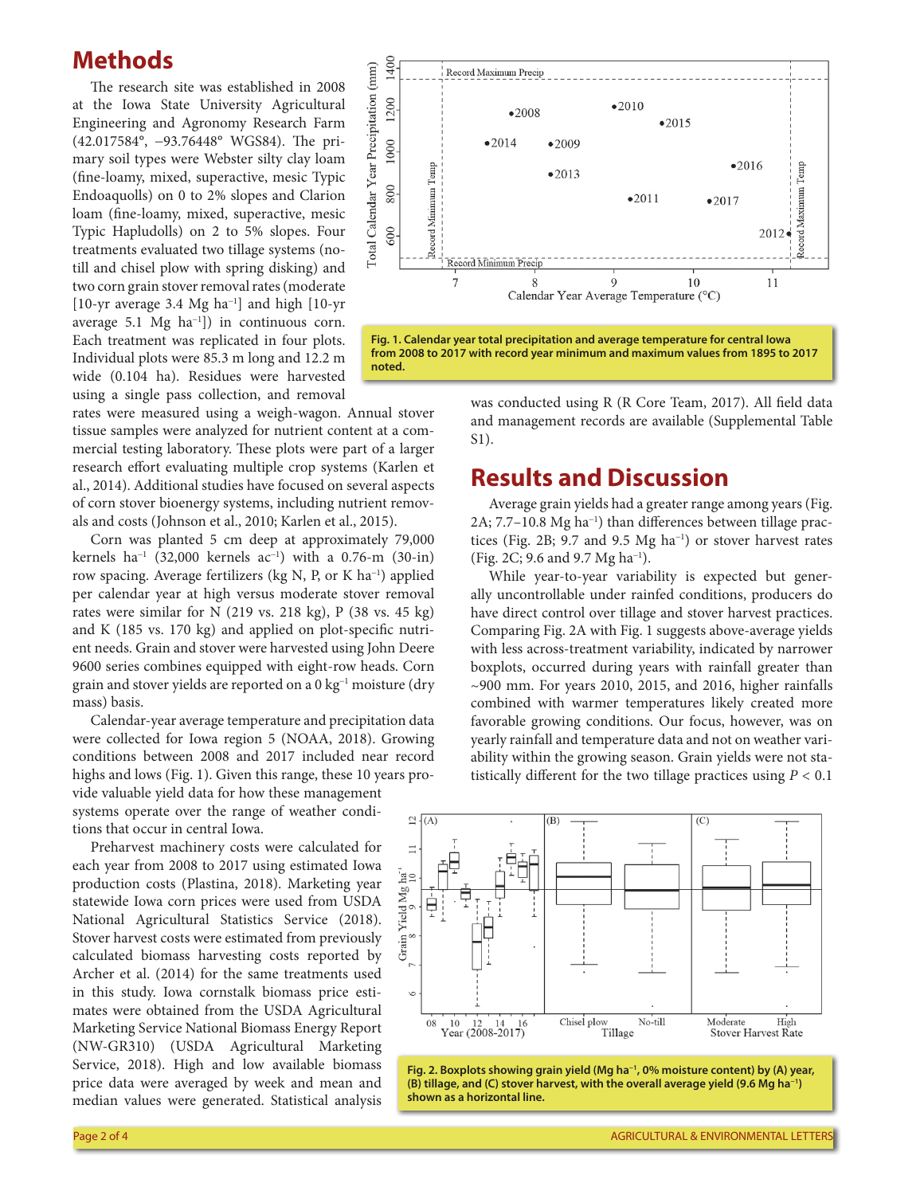### **Methods**

The research site was established in 2008 at the Iowa State University Agricultural Engineering and Agronomy Research Farm (42.017584°, -93.76448° WGS84). The primary soil types were Webster silty clay loam (fine-loamy, mixed, superactive, mesic Typic Endoaquolls) on 0 to 2% slopes and Clarion loam (fine-loamy, mixed, superactive, mesic Typic Hapludolls) on 2 to 5% slopes. Four treatments evaluated two tillage systems (notill and chisel plow with spring disking) and two corn grain stover removal rates (moderate [10-yr average 3.4 Mg  $ha^{-1}$ ] and high [10-yr average  $5.1 \text{ Mg } ha^{-1}$ ]) in continuous corn. Each treatment was replicated in four plots. Individual plots were 85.3 m long and 12.2 m wide (0.104 ha). Residues were harvested using a single pass collection, and removal

rates were measured using a weigh-wagon. Annual stover tissue samples were analyzed for nutrient content at a commercial testing laboratory. These plots were part of a larger research effort evaluating multiple crop systems (Karlen et al., 2014). Additional studies have focused on several aspects of corn stover bioenergy systems, including nutrient removals and costs (Johnson et al., 2010; Karlen et al., 2015).

Corn was planted 5 cm deep at approximately 79,000 kernels ha<sup>-1</sup> (32,000 kernels ac<sup>-1</sup>) with a 0.76-m (30-in) row spacing. Average fertilizers (kg N, P, or K ha<sup>-1</sup>) applied per calendar year at high versus moderate stover removal rates were similar for N (219 vs. 218 kg), P (38 vs. 45 kg) and K (185 vs. 170 kg) and applied on plot-specific nutrient needs. Grain and stover were harvested using John Deere 9600 series combines equipped with eight-row heads. Corn grain and stover yields are reported on a 0 kg<sup>-1</sup> moisture (dry mass) basis.

Calendar-year average temperature and precipitation data were collected for Iowa region 5 (NOAA, 2018). Growing conditions between 2008 and 2017 included near record highs and lows (Fig. 1). Given this range, these 10 years provide valuable yield data for how these management

systems operate over the range of weather conditions that occur in central Iowa.

Preharvest machinery costs were calculated for each year from 2008 to 2017 using estimated Iowa production costs (Plastina, 2018). Marketing year statewide Iowa corn prices were used from USDA National Agricultural Statistics Service (2018). Stover harvest costs were estimated from previously calculated biomass harvesting costs reported by Archer et al. (2014) for the same treatments used in this study. Iowa cornstalk biomass price estimates were obtained from the USDA Agricultural Marketing Service National Biomass Energy Report (NW-GR310) (USDA Agricultural Marketing Service, 2018). High and low available biomass price data were averaged by week and mean and median values were generated. Statistical analysis





was conducted using R (R Core Team, 2017). All field data and management records are available (Supplemental Table S1).

## **Results and Discussion**

Average grain yields had a greater range among years (Fig. 2A; 7.7-10.8 Mg ha<sup>-1</sup>) than differences between tillage practices (Fig. 2B; 9.7 and 9.5 Mg ha<sup>-1</sup>) or stover harvest rates (Fig. 2C; 9.6 and 9.7 Mg ha<sup>-1</sup>).

While year-to-year variability is expected but generally uncontrollable under rainfed conditions, producers do have direct control over tillage and stover harvest practices. Comparing Fig. 2A with Fig. 1 suggests above-average yields with less across-treatment variability, indicated by narrower boxplots, occurred during years with rainfall greater than  $\sim$ 900 mm. For years 2010, 2015, and 2016, higher rainfalls combined with warmer temperatures likely created more favorable growing conditions. Our focus, however, was on yearly rainfall and temperature data and not on weather variability within the growing season. Grain yields were not statistically different for the two tillage practices using *P* < 0.1



**Fig. 2. Boxplots showing grain yield (Mg ha−1, 0% moisture content) by (A) year, (B) tillage, and (C) stover harvest, with the overall average yield (9.6 Mg ha−1) shown as a horizontal line.**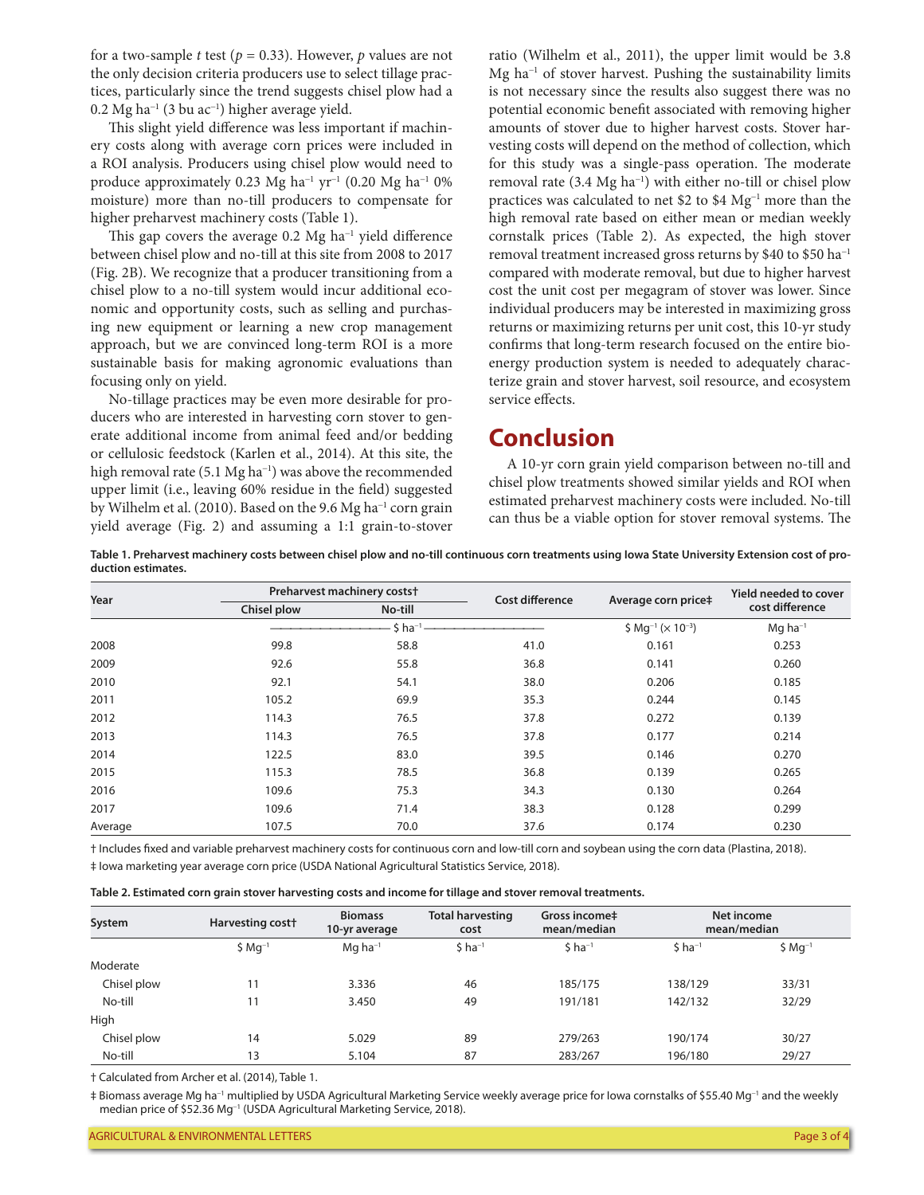for a two-sample *t* test ( $p = 0.33$ ). However, *p* values are not the only decision criteria producers use to select tillage practices, particularly since the trend suggests chisel plow had a 0.2 Mg ha<sup>-1</sup> (3 bu ac<sup>-1</sup>) higher average yield.

This slight yield difference was less important if machinery costs along with average corn prices were included in a ROI analysis. Producers using chisel plow would need to produce approximately 0.23 Mg ha<sup>-1</sup> yr<sup>-1</sup> (0.20 Mg ha<sup>-1</sup> 0%) moisture) more than no-till producers to compensate for higher preharvest machinery costs (Table 1).

This gap covers the average  $0.2 \text{ Mg} \text{ ha}^{-1}$  yield difference between chisel plow and no-till at this site from 2008 to 2017 (Fig. 2B). We recognize that a producer transitioning from a chisel plow to a no-till system would incur additional economic and opportunity costs, such as selling and purchasing new equipment or learning a new crop management approach, but we are convinced long-term ROI is a more sustainable basis for making agronomic evaluations than focusing only on yield.

No-tillage practices may be even more desirable for producers who are interested in harvesting corn stover to generate additional income from animal feed and/or bedding or cellulosic feedstock (Karlen et al., 2014). At this site, the high removal rate (5.1 Mg ha<sup>-1</sup>) was above the recommended upper limit (i.e., leaving 60% residue in the field) suggested by Wilhelm et al. (2010). Based on the 9.6 Mg ha<sup>-1</sup> corn grain yield average (Fig. 2) and assuming a 1:1 grain-to-stover

ratio (Wilhelm et al., 2011), the upper limit would be 3.8 Mg ha<sup>-1</sup> of stover harvest. Pushing the sustainability limits is not necessary since the results also suggest there was no potential economic benefit associated with removing higher amounts of stover due to higher harvest costs. Stover harvesting costs will depend on the method of collection, which for this study was a single-pass operation. The moderate removal rate (3.4 Mg ha<sup>-1</sup>) with either no-till or chisel plow practices was calculated to net \$2 to \$4  $Mg^{-1}$  more than the high removal rate based on either mean or median weekly cornstalk prices (Table 2). As expected, the high stover removal treatment increased gross returns by \$40 to \$50 ha-<sup>1</sup> compared with moderate removal, but due to higher harvest cost the unit cost per megagram of stover was lower. Since individual producers may be interested in maximizing gross returns or maximizing returns per unit cost, this 10-yr study confirms that long-term research focused on the entire bioenergy production system is needed to adequately characterize grain and stover harvest, soil resource, and ecosystem service effects.

## **Conclusion**

A 10-yr corn grain yield comparison between no-till and chisel plow treatments showed similar yields and ROI when estimated preharvest machinery costs were included. No-till can thus be a viable option for stover removal systems. The

**Table 1. Preharvest machinery costs between chisel plow and no-till continuous corn treatments using Iowa State University Extension cost of production estimates.**

| Year    | Preharvest machinery costst |             |                        |                                                   | <b>Yield needed to cover</b> |  |
|---------|-----------------------------|-------------|------------------------|---------------------------------------------------|------------------------------|--|
|         | Chisel plow                 | No-till     | <b>Cost difference</b> | Average corn price‡                               | cost difference              |  |
|         |                             | $$ ha^{-1}$ |                        | \$ Mg <sup>-1</sup> ( $\times$ 10 <sup>-3</sup> ) | $Mq$ ha <sup>-1</sup>        |  |
| 2008    | 99.8                        | 58.8        | 41.0                   | 0.161                                             | 0.253                        |  |
| 2009    | 92.6                        | 55.8        | 36.8                   | 0.141                                             | 0.260                        |  |
| 2010    | 92.1                        | 54.1        | 38.0                   | 0.206                                             | 0.185                        |  |
| 2011    | 105.2                       | 69.9        | 35.3                   | 0.244                                             | 0.145                        |  |
| 2012    | 114.3                       | 76.5        | 37.8                   | 0.272                                             | 0.139                        |  |
| 2013    | 114.3                       | 76.5        | 37.8                   | 0.177                                             | 0.214                        |  |
| 2014    | 122.5                       | 83.0        | 39.5                   | 0.146                                             | 0.270                        |  |
| 2015    | 115.3                       | 78.5        | 36.8                   | 0.139                                             | 0.265                        |  |
| 2016    | 109.6                       | 75.3        | 34.3                   | 0.130                                             | 0.264                        |  |
| 2017    | 109.6                       | 71.4        | 38.3                   | 0.128                                             | 0.299                        |  |
| Average | 107.5                       | 70.0        | 37.6                   | 0.174                                             | 0.230                        |  |

† Includes fixed and variable preharvest machinery costs for continuous corn and low-till corn and soybean using the corn data (Plastina, 2018). ‡ Iowa marketing year average corn price (USDA National Agricultural Statistics Service, 2018).

| Table 2. Estimated corn grain stover harvesting costs and income for tillage and stover removal treatments. |  |  |  |
|-------------------------------------------------------------------------------------------------------------|--|--|--|
|                                                                                                             |  |  |  |

| System      | Harvesting cost <sup>+</sup><br>$$Mq^{-1}$ | <b>Biomass</b><br>10-yr average<br>$Mq$ ha <sup>-1</sup> | <b>Total harvesting</b><br>cost<br>$$$ ha <sup>-1</sup> | Gross income#<br>mean/median<br>$$$ ha <sup>-1</sup> | Net income<br>mean/median |            |
|-------------|--------------------------------------------|----------------------------------------------------------|---------------------------------------------------------|------------------------------------------------------|---------------------------|------------|
|             |                                            |                                                          |                                                         |                                                      | $$$ ha <sup>-1</sup>      | $$Mq^{-1}$ |
| Moderate    |                                            |                                                          |                                                         |                                                      |                           |            |
| Chisel plow | 11                                         | 3.336                                                    | 46                                                      | 185/175                                              | 138/129                   | 33/31      |
| No-till     | 11                                         | 3.450                                                    | 49                                                      | 191/181                                              | 142/132                   | 32/29      |
| High        |                                            |                                                          |                                                         |                                                      |                           |            |
| Chisel plow | 14                                         | 5.029                                                    | 89                                                      | 279/263                                              | 190/174                   | 30/27      |
| No-till     | 13                                         | 5.104                                                    | 87                                                      | 283/267                                              | 196/180                   | 29/27      |

† Calculated from Archer et al. (2014), Table 1.

‡ Biomass average Mg ha-<sup>1</sup> multiplied by USDA Agricultural Marketing Service weekly average price for Iowa cornstalks of \$55.40 Mg-<sup>1</sup> and the weekly median price of \$52.36 Mg<sup>-1</sup> (USDA Agricultural Marketing Service, 2018).